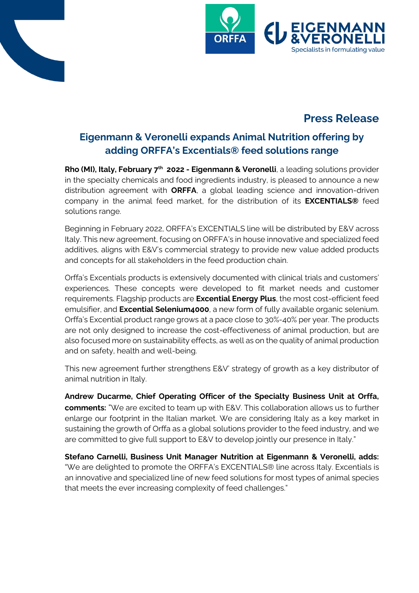



# **Press Release**

## **Eigenmann & Veronelli expands Animal Nutrition offering by adding ORFFA's Excentials® feed solutions range**

**Rho (MI), Italy, February 7<sup>th</sup> 2022 - Eigenmann & Veronelli**, a leading solutions provider in the specialty chemicals and food ingredients industry, is pleased to announce a new distribution agreement with **ORFFA**, a global leading science and innovation-driven company in the animal feed market, for the distribution of its **EXCENTIALS®** feed solutions range.

Beginning in February 2022, ORFFA's EXCENTIALS line will be distributed by E&V across Italy. This new agreement, focusing on ORFFA's in house innovative and specialized feed additives, aligns with E&V's commercial strategy to provide new value added products and concepts for all stakeholders in the feed production chain.

Orffa's Excentials products is extensively documented with clinical trials and customers' experiences. These concepts were developed to fit market needs and customer requirements. Flagship products are **Excential Energy Plus**, the most cost-efficient feed emulsifier, and **Excential Selenium4000**, a new form of fully available organic selenium. Orffa's Excential product range grows at a pace close to 30%-40% per year. The products are not only designed to increase the cost-effectiveness of animal production, but are also focused more on sustainability effects, as well as on the quality of animal production and on safety, health and well-being.

This new agreement further strengthens E&V' strategy of growth as a key distributor of animal nutrition in Italy.

**Andrew Ducarme, Chief Operating Officer of the Specialty Business Unit at Orffa, comments:** "We are excited to team up with E&V. This collaboration allows us to further enlarge our footprint in the Italian market. We are considering Italy as a key market in sustaining the growth of Orffa as a global solutions provider to the feed industry, and we are committed to give full support to E&V to develop jointly our presence in Italy."

**Stefano Carnelli, Business Unit Manager Nutrition at Eigenmann & Veronelli, adds:** "We are delighted to promote the ORFFA's EXCENTIALS® line across Italy. Excentials is an innovative and specialized line of new feed solutions for most types of animal species that meets the ever increasing complexity of feed challenges."